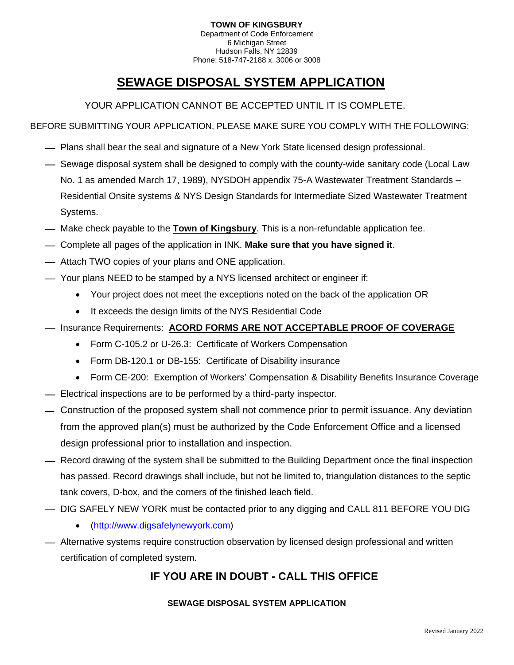#### **TOWN OF KINGSBURY** Department of Code Enforcement 6 Michigan Street Hudson Falls, NY 12839 Phone: 518-747-2188 x. 3006 or 3008

# **SEWAGE DISPOSAL SYSTEM APPLICATION**

YOUR APPLICATION CANNOT BE ACCEPTED UNTIL IT IS COMPLETE.

BEFORE SUBMITTING YOUR APPLICATION, PLEASE MAKE SURE YOU COMPLY WITH THE FOLLOWING:

- Plans shall bear the seal and signature of a New York State licensed design professional.
- $-$  Sewage disposal system shall be designed to comply with the county-wide sanitary code (Local Law No. 1 as amended March 17, 1989), NYSDOH appendix 75-A Wastewater Treatment Standards – Residential Onsite systems & NYS Design Standards for Intermediate Sized Wastewater Treatment Systems.
- ⎯ Make check payable to the **Town of Kingsbury**. This is a non-refundable application fee.
- ⎯ Complete all pages of the application in INK. **Make sure that you have signed it**.
- $-$  Attach TWO copies of your plans and ONE application.
- ⎯ Your plans NEED to be stamped by a NYS licensed architect or engineer if:
	- Your project does not meet the exceptions noted on the back of the application OR
	- It exceeds the design limits of the NYS Residential Code
- ⎯ Insurance Requirements: **ACORD FORMS ARE NOT ACCEPTABLE PROOF OF COVERAGE**
	- Form C-105.2 or U-26.3: Certificate of Workers Compensation
	- Form DB-120.1 or DB-155: Certificate of Disability insurance
	- Form CE-200: Exemption of Workers' Compensation & Disability Benefits Insurance Coverage
- $-$  Electrical inspections are to be performed by a third-party inspector.
- ⎯ Construction of the proposed system shall not commence prior to permit issuance. Any deviation from the approved plan(s) must be authorized by the Code Enforcement Office and a licensed design professional prior to installation and inspection.
- $-$  Record drawing of the system shall be submitted to the Building Department once the final inspection has passed. Record drawings shall include, but not be limited to, triangulation distances to the septic tank covers, D-box, and the corners of the finished leach field.
- ⎯ DIG SAFELY NEW YORK must be contacted prior to any digging and CALL 811 BEFORE YOU DIG
	- [\(http://www.digsafelynewyork.com\)](http://www.digsafelynewyork.com/)
- $-$  Alternative systems require construction observation by licensed design professional and written certification of completed system.

# **IF YOU ARE IN DOUBT - CALL THIS OFFICE**

#### **SEWAGE DISPOSAL SYSTEM APPLICATION**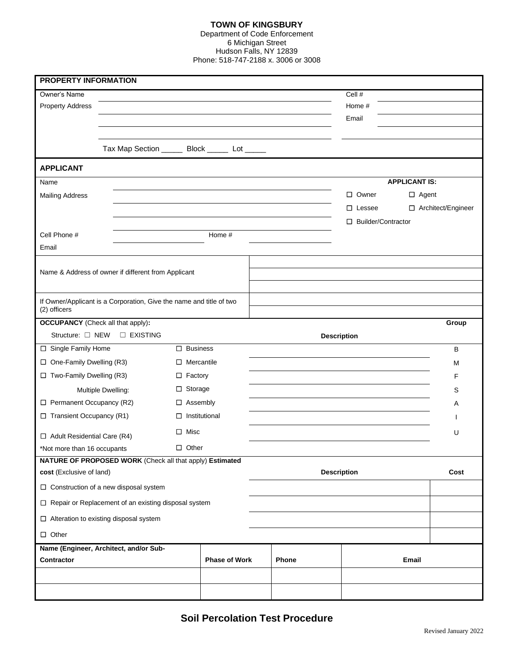#### **TOWN OF KINGSBURY**

Department of Code Enforcement 6 Michigan Street Hudson Falls, NY 12839 Phone: 518-747-2188 x. 3006 or 3008

| PROPERTY INFORMATION                                                                |                                                          |                      |                                                   |                    |                      |                      |
|-------------------------------------------------------------------------------------|----------------------------------------------------------|----------------------|---------------------------------------------------|--------------------|----------------------|----------------------|
| Owner's Name                                                                        |                                                          |                      |                                                   |                    | Cell #               |                      |
| <b>Property Address</b>                                                             |                                                          |                      |                                                   |                    | Home #               |                      |
|                                                                                     |                                                          |                      |                                                   |                    | Email                |                      |
|                                                                                     |                                                          |                      |                                                   |                    |                      |                      |
|                                                                                     |                                                          |                      | Tax Map Section ________ Block _______ Lot ______ |                    |                      |                      |
| <b>APPLICANT</b>                                                                    |                                                          |                      |                                                   |                    |                      |                      |
| Name                                                                                |                                                          |                      |                                                   |                    | <b>APPLICANT IS:</b> |                      |
| <b>Mailing Address</b>                                                              |                                                          |                      |                                                   |                    | □ Owner              | $\Box$ Agent         |
|                                                                                     |                                                          |                      |                                                   |                    | $\Box$ Lessee        | □ Architect/Engineer |
|                                                                                     |                                                          |                      |                                                   |                    | □ Builder/Contractor |                      |
| Cell Phone #                                                                        |                                                          |                      | Home #                                            |                    |                      |                      |
| Email                                                                               |                                                          |                      |                                                   |                    |                      |                      |
|                                                                                     |                                                          |                      |                                                   |                    |                      |                      |
|                                                                                     | Name & Address of owner if different from Applicant      |                      |                                                   |                    |                      |                      |
|                                                                                     |                                                          |                      |                                                   |                    |                      |                      |
| If Owner/Applicant is a Corporation, Give the name and title of two<br>(2) officers |                                                          |                      |                                                   |                    |                      |                      |
| <b>OCCUPANCY</b> (Check all that apply):                                            |                                                          |                      |                                                   |                    |                      | Group                |
| Structure: $\Box$ NEW                                                               | <b>D</b> EXISTING                                        |                      |                                                   | <b>Description</b> |                      |                      |
| □ Single Family Home                                                                |                                                          | $\Box$ Business      |                                                   |                    |                      | B                    |
| $\Box$ One-Family Dwelling (R3)                                                     |                                                          | $\Box$ Mercantile    |                                                   |                    |                      | M                    |
| $\Box$ Two-Family Dwelling (R3)                                                     |                                                          | $\square$ Factory    |                                                   |                    |                      | F                    |
|                                                                                     | □ Storage<br>Multiple Dwelling:                          |                      |                                                   |                    |                      | S                    |
| Permanent Occupancy (R2)<br>$\Box$ Assembly                                         |                                                          |                      |                                                   |                    | Α                    |                      |
| $\Box$ Transient Occupancy (R1)                                                     |                                                          | $\Box$ Institutional |                                                   |                    |                      |                      |
| $\Box$ Misc<br>$\Box$ Adult Residential Care (R4)                                   |                                                          |                      |                                                   |                    | U                    |                      |
| *Not more than 16 occupants                                                         |                                                          | $\Box$ Other         |                                                   |                    |                      |                      |
|                                                                                     | NATURE OF PROPOSED WORK (Check all that apply) Estimated |                      |                                                   |                    |                      |                      |
| cost (Exclusive of land)                                                            |                                                          |                      |                                                   | <b>Description</b> |                      | Cost                 |
| $\Box$ Construction of a new disposal system                                        |                                                          |                      |                                                   |                    |                      |                      |
| □ Repair or Replacement of an existing disposal system                              |                                                          |                      |                                                   |                    |                      |                      |
| $\Box$ Alteration to existing disposal system                                       |                                                          |                      |                                                   |                    |                      |                      |
| $\Box$ Other                                                                        |                                                          |                      |                                                   |                    |                      |                      |
|                                                                                     | Name (Engineer, Architect, and/or Sub-                   |                      |                                                   |                    |                      |                      |
| Contractor                                                                          |                                                          | <b>Phase of Work</b> | Phone                                             | Email              |                      |                      |
|                                                                                     |                                                          |                      |                                                   |                    |                      |                      |
|                                                                                     |                                                          |                      |                                                   |                    |                      |                      |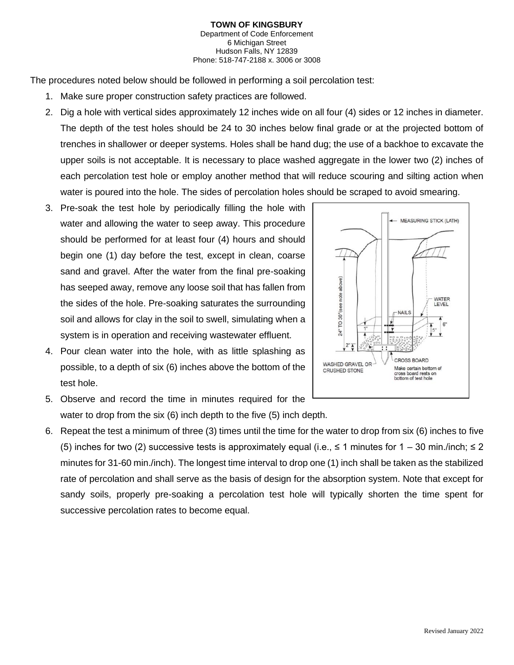#### **TOWN OF KINGSBURY** Department of Code Enforcement 6 Michigan Street Hudson Falls, NY 12839 Phone: 518-747-2188 x. 3006 or 3008

The procedures noted below should be followed in performing a soil percolation test:

- 1. Make sure proper construction safety practices are followed.
- 2. Dig a hole with vertical sides approximately 12 inches wide on all four (4) sides or 12 inches in diameter. The depth of the test holes should be 24 to 30 inches below final grade or at the projected bottom of trenches in shallower or deeper systems. Holes shall be hand dug; the use of a backhoe to excavate the upper soils is not acceptable. It is necessary to place washed aggregate in the lower two (2) inches of each percolation test hole or employ another method that will reduce scouring and silting action when water is poured into the hole. The sides of percolation holes should be scraped to avoid smearing.
- 3. Pre-soak the test hole by periodically filling the hole with water and allowing the water to seep away. This procedure should be performed for at least four (4) hours and should begin one (1) day before the test, except in clean, coarse sand and gravel. After the water from the final pre-soaking has seeped away, remove any loose soil that has fallen from the sides of the hole. Pre-soaking saturates the surrounding soil and allows for clay in the soil to swell, simulating when a system is in operation and receiving wastewater effluent.
- 4. Pour clean water into the hole, with as little splashing as possible, to a depth of six (6) inches above the bottom of the test hole.
- 5. Observe and record the time in minutes required for the water to drop from the six (6) inch depth to the five (5) inch depth.
- 6. Repeat the test a minimum of three (3) times until the time for the water to drop from six (6) inches to five (5) inches for two (2) successive tests is approximately equal (i.e.,  $\leq$  1 minutes for 1 – 30 min./inch;  $\leq$  2 minutes for 31-60 min./inch). The longest time interval to drop one (1) inch shall be taken as the stabilized rate of percolation and shall serve as the basis of design for the absorption system. Note that except for sandy soils, properly pre-soaking a percolation test hole will typically shorten the time spent for successive percolation rates to become equal.

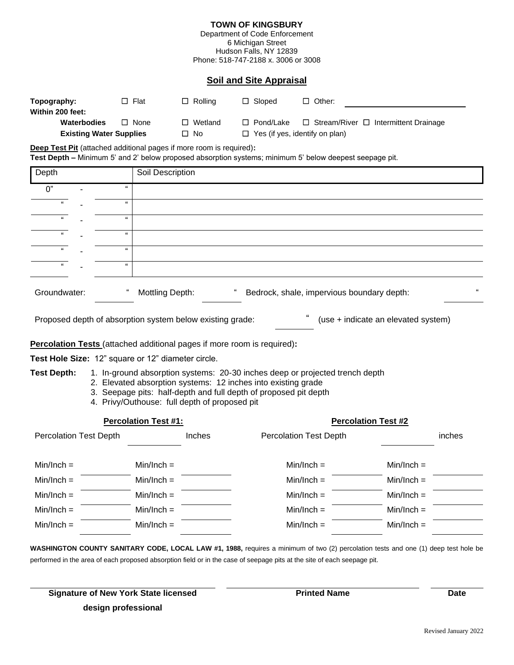#### **TOWN OF KINGSBURY**

Department of Code Enforcement 6 Michigan Street Hudson Falls, NY 12839 Phone: 518-747-2188 x. 3006 or 3008

#### **Soil and Site Appraisal**

| Topography:                                 | $\square$ Flat | $\Box$ Rolling | $\Box$ Sloped                         | $\Box$ Other:                                    |  |
|---------------------------------------------|----------------|----------------|---------------------------------------|--------------------------------------------------|--|
| Within 200 feet:                            |                |                |                                       |                                                  |  |
| <b>Waterbodies</b>                          | $\Box$ None    | Wetland<br>П   | $\Box$ Pond/Lake                      | $\Box$ Stream/River $\Box$ Intermittent Drainage |  |
| <b>Existing Water Supplies</b><br>$\Box$ No |                |                | $\Box$ Yes (if yes, identify on plan) |                                                  |  |

**Deep Test Pit** (attached additional pages if more room is required)**:**

**Test Depth –** Minimum 5' and 2' below proposed absorption systems; minimum 5' below deepest seepage pit.

|                                                                                                                                                                                                                                                                                          | Soil Description |                                                                                                                                                       |                                                                                |                                            |  |  |  |
|------------------------------------------------------------------------------------------------------------------------------------------------------------------------------------------------------------------------------------------------------------------------------------------|------------------|-------------------------------------------------------------------------------------------------------------------------------------------------------|--------------------------------------------------------------------------------|--------------------------------------------|--|--|--|
| $\alpha$                                                                                                                                                                                                                                                                                 |                  |                                                                                                                                                       |                                                                                |                                            |  |  |  |
| $\Omega$                                                                                                                                                                                                                                                                                 |                  |                                                                                                                                                       |                                                                                |                                            |  |  |  |
| $\alpha$                                                                                                                                                                                                                                                                                 |                  |                                                                                                                                                       |                                                                                |                                            |  |  |  |
| $\mathbf{a}$                                                                                                                                                                                                                                                                             |                  |                                                                                                                                                       |                                                                                |                                            |  |  |  |
| $\alpha$                                                                                                                                                                                                                                                                                 |                  |                                                                                                                                                       |                                                                                |                                            |  |  |  |
| $\alpha$                                                                                                                                                                                                                                                                                 |                  |                                                                                                                                                       |                                                                                |                                            |  |  |  |
|                                                                                                                                                                                                                                                                                          |                  |                                                                                                                                                       |                                                                                |                                            |  |  |  |
| "<br>(use + indicate an elevated system)<br>Proposed depth of absorption system below existing grade:                                                                                                                                                                                    |                  |                                                                                                                                                       |                                                                                |                                            |  |  |  |
|                                                                                                                                                                                                                                                                                          |                  |                                                                                                                                                       |                                                                                |                                            |  |  |  |
|                                                                                                                                                                                                                                                                                          |                  |                                                                                                                                                       |                                                                                |                                            |  |  |  |
| <b>Test Depth:</b><br>1. In-ground absorption systems: 20-30 inches deep or projected trench depth<br>2. Elevated absorption systems: 12 inches into existing grade<br>3. Seepage pits: half-depth and full depth of proposed pit depth<br>4. Privy/Outhouse: full depth of proposed pit |                  |                                                                                                                                                       |                                                                                |                                            |  |  |  |
| <b>Percolation Test #1:</b><br><b>Percolation Test #2</b>                                                                                                                                                                                                                                |                  |                                                                                                                                                       |                                                                                |                                            |  |  |  |
| <b>Percolation Test Depth</b>                                                                                                                                                                                                                                                            | Inches           | <b>Percolation Test Depth</b>                                                                                                                         |                                                                                | inches                                     |  |  |  |
|                                                                                                                                                                                                                                                                                          |                  | $Min/Inch =$                                                                                                                                          | $Min/Inch =$                                                                   |                                            |  |  |  |
|                                                                                                                                                                                                                                                                                          |                  | $Min/Inch =$                                                                                                                                          | $Min/Inch =$                                                                   |                                            |  |  |  |
|                                                                                                                                                                                                                                                                                          |                  | $Min/Inch =$                                                                                                                                          | $Min/Inch =$                                                                   |                                            |  |  |  |
|                                                                                                                                                                                                                                                                                          |                  | $Min/Inch =$                                                                                                                                          | $Min/Inch =$                                                                   |                                            |  |  |  |
|                                                                                                                                                                                                                                                                                          |                  | $Min/Inch =$                                                                                                                                          | $Min/Inch =$                                                                   |                                            |  |  |  |
|                                                                                                                                                                                                                                                                                          |                  | Mottling Depth:<br>Test Hole Size: 12" square or 12" diameter circle.<br>$Min/Inch =$<br>$Min/Inch =$<br>$Min/Inch =$<br>$Min/Inch =$<br>$Min/Inch =$ | <b>Percolation Tests</b> (attached additional pages if more room is required): | Bedrock, shale, impervious boundary depth: |  |  |  |

**WASHINGTON COUNTY SANITARY CODE, LOCAL LAW #1, 1988,** requires a minimum of two (2) percolation tests and one (1) deep test hole be performed in the area of each proposed absorption field or in the case of seepage pits at the site of each seepage pit.

| <b>Signature of New York State licensed</b> |  |
|---------------------------------------------|--|
| design professional                         |  |

**Printed Name** Date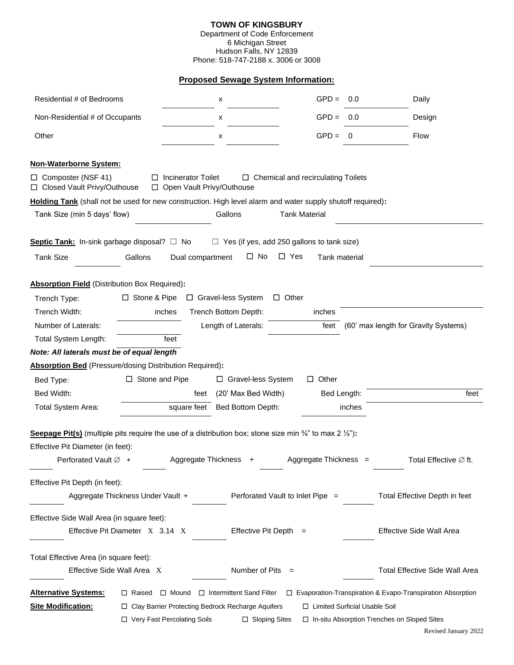# **TOWN OF KINGSBURY**

Department of Code Enforcement 6 Michigan Street Hudson Falls, NY 12839 Phone: 518-747-2188 x. 3006 or 3008

### **Proposed Sewage System Information:**

| Residential # of Bedrooms                                                                                                                                                                                 |                                   | х                                                          | $GPD =$                                           | 0.0    | Daily                                                             |
|-----------------------------------------------------------------------------------------------------------------------------------------------------------------------------------------------------------|-----------------------------------|------------------------------------------------------------|---------------------------------------------------|--------|-------------------------------------------------------------------|
| Non-Residential # of Occupants                                                                                                                                                                            |                                   | х                                                          | $GPD =$                                           | 0.0    | Design                                                            |
| Other                                                                                                                                                                                                     |                                   | х                                                          | $GPD =$                                           | 0      | Flow                                                              |
| <b>Non-Waterborne System:</b><br>$\Box$ Composter (NSF 41)<br>□ Closed Vault Privy/Outhouse<br>Holding Tank (shall not be used for new construction. High level alarm and water supply shutoff required): | $\Box$ Incinerator Toilet         | □ Open Vault Privy/Outhouse                                | $\Box$ Chemical and recirculating Toilets         |        |                                                                   |
| Tank Size (min 5 days' flow)                                                                                                                                                                              |                                   | Gallons                                                    | <b>Tank Material</b>                              |        |                                                                   |
| Septic Tank: In-sink garbage disposal? $\Box$ No                                                                                                                                                          |                                   |                                                            | $\Box$ Yes (if yes, add 250 gallons to tank size) |        |                                                                   |
| <b>Tank Size</b>                                                                                                                                                                                          | Gallons                           | $\Box$ No<br>Dual compartment                              | $\Box$ Yes<br>Tank material                       |        |                                                                   |
|                                                                                                                                                                                                           |                                   |                                                            |                                                   |        |                                                                   |
| Absorption Field (Distribution Box Required):                                                                                                                                                             |                                   |                                                            |                                                   |        |                                                                   |
| Trench Type:                                                                                                                                                                                              | □ Stone & Pipe                    | □ Gravel-less System                                       | $\Box$ Other                                      |        |                                                                   |
| Trench Width:                                                                                                                                                                                             | inches                            | Trench Bottom Depth:                                       | inches                                            |        |                                                                   |
| Number of Laterals:                                                                                                                                                                                       |                                   | Length of Laterals:                                        | feet                                              |        | (60' max length for Gravity Systems)                              |
| Total System Length:                                                                                                                                                                                      | feet                              |                                                            |                                                   |        |                                                                   |
| Note: All laterals must be of equal length                                                                                                                                                                |                                   |                                                            |                                                   |        |                                                                   |
| Absorption Bed (Pressure/dosing Distribution Required):                                                                                                                                                   |                                   |                                                            |                                                   |        |                                                                   |
| Bed Type:                                                                                                                                                                                                 | $\Box$ Stone and Pipe             | □ Gravel-less System                                       | $\Box$ Other                                      |        |                                                                   |
| Bed Width:                                                                                                                                                                                                |                                   | (20' Max Bed Width)<br>feet                                | Bed Length:                                       |        | feet                                                              |
| Total System Area:                                                                                                                                                                                        |                                   | square feet Bed Bottom Depth:                              |                                                   | inches |                                                                   |
| <b>Seepage Pit(s)</b> (multiple pits require the use of a distribution box; stone size min $\frac{3}{4}$ " to max 2 $\frac{1}{2}$ "):                                                                     |                                   |                                                            |                                                   |        |                                                                   |
| Effective Pit Diameter (in feet):                                                                                                                                                                         |                                   |                                                            |                                                   |        |                                                                   |
| Perforated Vault $\varnothing$ +                                                                                                                                                                          |                                   | Aggregate Thickness                                        | Aggregate Thickness =                             |        | Total Effective $\varnothing$ ft.                                 |
| Effective Pit Depth (in feet):                                                                                                                                                                            |                                   |                                                            |                                                   |        |                                                                   |
|                                                                                                                                                                                                           | Aggregate Thickness Under Vault + |                                                            | Perforated Vault to Inlet Pipe =                  |        | Total Effective Depth in feet                                     |
| Effective Side Wall Area (in square feet):                                                                                                                                                                |                                   |                                                            |                                                   |        |                                                                   |
|                                                                                                                                                                                                           | Effective Pit Diameter X 3.14 X   | Effective Pit Depth $=$                                    |                                                   |        | Effective Side Wall Area                                          |
| Total Effective Area (in square feet):                                                                                                                                                                    |                                   |                                                            |                                                   |        |                                                                   |
| Effective Side Wall Area X                                                                                                                                                                                |                                   | Number of Pits                                             |                                                   |        | <b>Total Effective Side Wall Area</b>                             |
| <b>Alternative Systems:</b>                                                                                                                                                                               |                                   | $\Box$ Raised $\Box$ Mound $\Box$ Intermittent Sand Filter |                                                   |        | $\Box$ Evaporation-Transpiration & Evapo-Transpiration Absorption |
| <b>Site Modification:</b>                                                                                                                                                                                 |                                   | □ Clay Barrier Protecting Bedrock Recharge Aquifers        | □ Limited Surficial Usable Soil                   |        |                                                                   |
|                                                                                                                                                                                                           | □ Very Fast Percolating Soils     | □ Sloping Sites                                            |                                                   |        | □ In-situ Absorption Trenches on Sloped Sites                     |